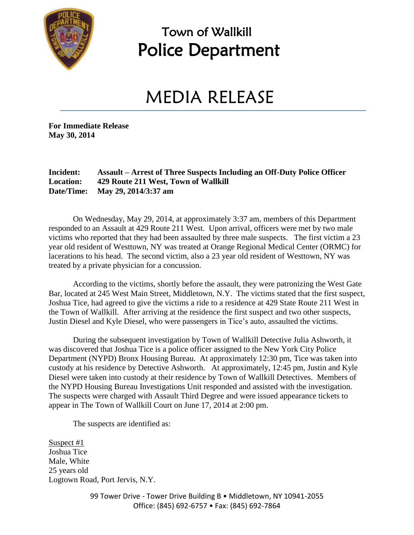

### Town of Wallkill Police Department

## MEDIA RELEASE

**For Immediate Release May 30, 2014**

#### **Incident: Assault – Arrest of Three Suspects Including an Off-Duty Police Officer Location: 429 Route 211 West, Town of Wallkill Date/Time: May 29, 2014/3:37 am**

On Wednesday, May 29, 2014, at approximately 3:37 am, members of this Department responded to an Assault at 429 Route 211 West. Upon arrival, officers were met by two male victims who reported that they had been assaulted by three male suspects. The first victim a 23 year old resident of Westtown, NY was treated at Orange Regional Medical Center (ORMC) for lacerations to his head. The second victim, also a 23 year old resident of Westtown, NY was treated by a private physician for a concussion.

According to the victims, shortly before the assault, they were patronizing the West Gate Bar, located at 245 West Main Street, Middletown, N.Y. The victims stated that the first suspect, Joshua Tice, had agreed to give the victims a ride to a residence at 429 State Route 211 West in the Town of Wallkill. After arriving at the residence the first suspect and two other suspects, Justin Diesel and Kyle Diesel, who were passengers in Tice's auto, assaulted the victims.

During the subsequent investigation by Town of Wallkill Detective Julia Ashworth, it was discovered that Joshua Tice is a police officer assigned to the New York City Police Department (NYPD) Bronx Housing Bureau. At approximately 12:30 pm, Tice was taken into custody at his residence by Detective Ashworth. At approximately, 12:45 pm, Justin and Kyle Diesel were taken into custody at their residence by Town of Wallkill Detectives. Members of the NYPD Housing Bureau Investigations Unit responded and assisted with the investigation. The suspects were charged with Assault Third Degree and were issued appearance tickets to appear in The Town of Wallkill Court on June 17, 2014 at 2:00 pm.

The suspects are identified as:

Suspect #1 Joshua Tice Male, White 25 years old Logtown Road, Port Jervis, N.Y.

> 99 Tower Drive - Tower Drive Building B · Middletown, NY 10941-2055 Office: (845) 692-6757 • Fax: (845) 692-7864